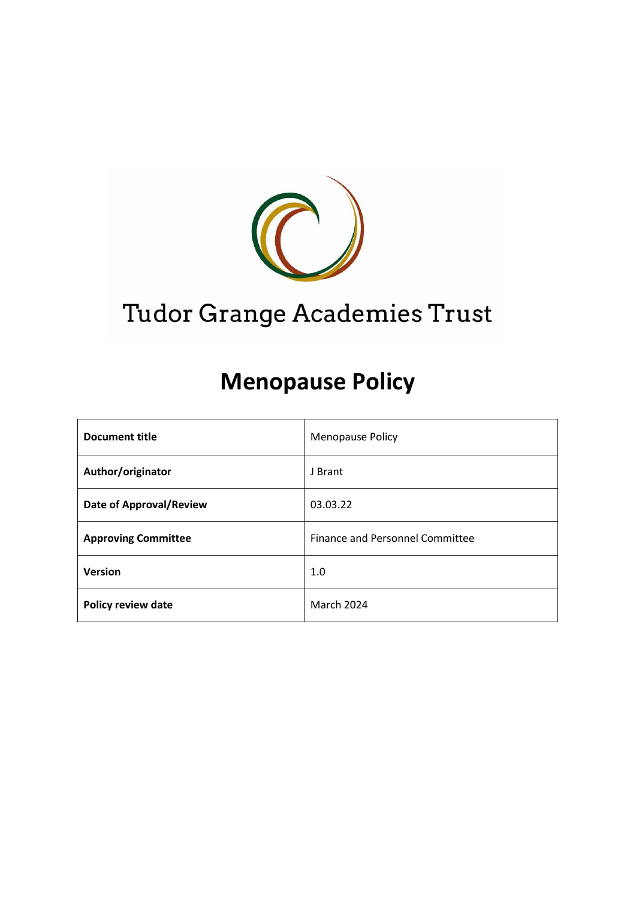

# Tudor Grange Academies Trust

# **Menopause Policy**

| <b>Document title</b>          | <b>Menopause Policy</b>                |
|--------------------------------|----------------------------------------|
| Author/originator              | J Brant                                |
| <b>Date of Approval/Review</b> | 03.03.22                               |
| <b>Approving Committee</b>     | <b>Finance and Personnel Committee</b> |
| <b>Version</b>                 | 1.0                                    |
| <b>Policy review date</b>      | <b>March 2024</b>                      |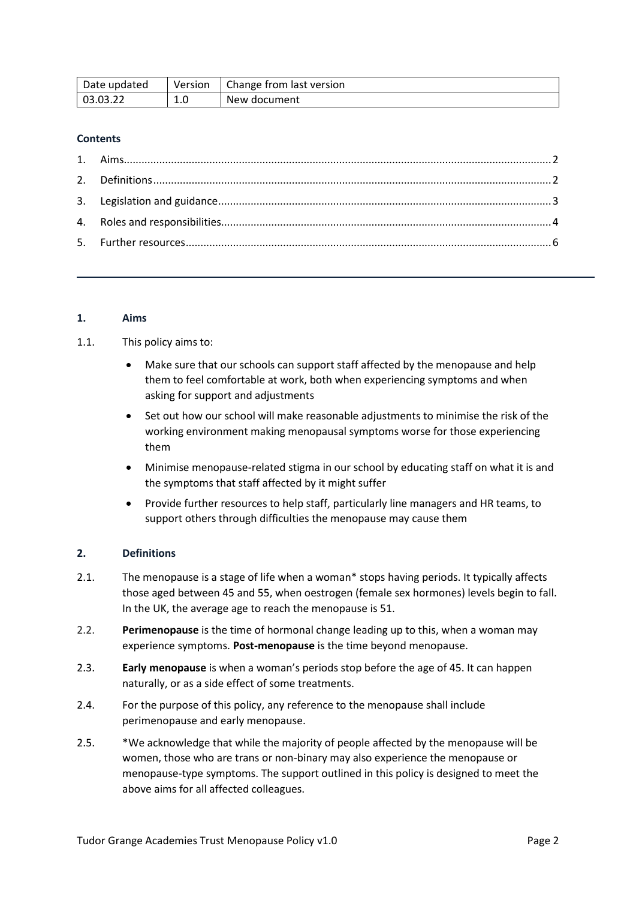| Date updated | Version  | Change from last version |
|--------------|----------|--------------------------|
| 03.03.22     | -<br>T.N | New document             |

# **Contents**

# <span id="page-1-0"></span>**1. Aims**

# 1.1. This policy aims to:

- Make sure that our schools can support staff affected by the menopause and help them to feel comfortable at work, both when experiencing symptoms and when asking for support and adjustments
- Set out how our school will make reasonable adjustments to minimise the risk of the working environment making menopausal symptoms worse for those experiencing them
- Minimise menopause-related stigma in our school by educating staff on what it is and the symptoms that staff affected by it might suffer
- Provide further resources to help staff, particularly line managers and HR teams, to support others through difficulties the menopause may cause them

# <span id="page-1-1"></span>**2. Definitions**

- 2.1. The menopause is a stage of life when a woman\* stops having periods. It typically affects those aged between 45 and 55, when oestrogen (female sex hormones) levels begin to fall. In the UK, the average age to reach the menopause is 51.
- 2.2. **Perimenopause** is the time of hormonal change leading up to this, when a woman may experience symptoms. **Post-menopause** is the time beyond menopause.
- 2.3. **Early menopause** is when a woman's periods stop before the age of 45. It can happen naturally, or as a side effect of some treatments.
- 2.4. For the purpose of this policy, any reference to the menopause shall include perimenopause and early menopause.
- 2.5. \*We acknowledge that while the majority of people affected by the menopause will be women, those who are trans or non-binary may also experience the menopause or menopause-type symptoms. The support outlined in this policy is designed to meet the above aims for all affected colleagues.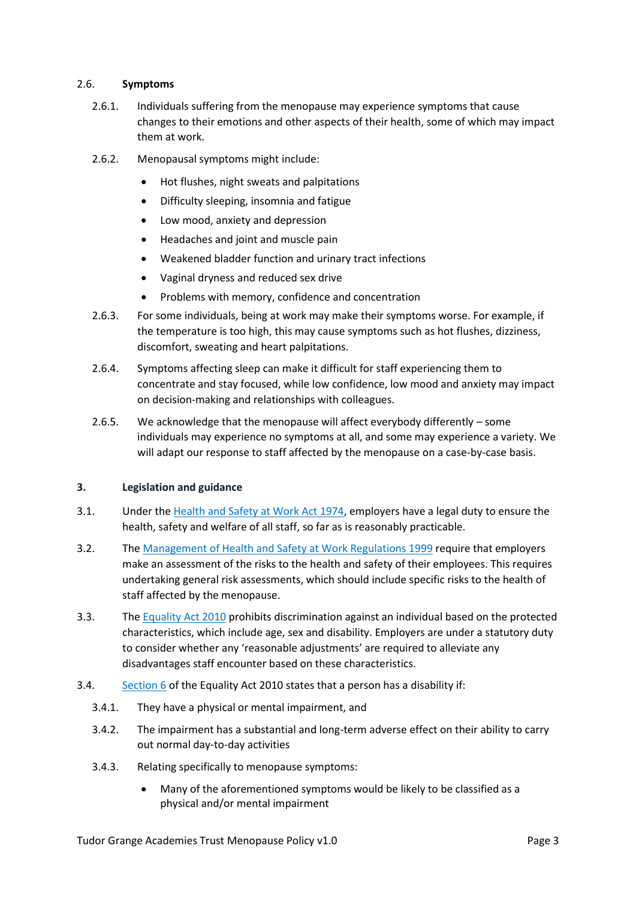# 2.6. **Symptoms**

- 2.6.1. Individuals suffering from the menopause may experience symptoms that cause changes to their emotions and other aspects of their health, some of which may impact them at work.
- 2.6.2. Menopausal symptoms might include:
	- Hot flushes, night sweats and palpitations
	- Difficulty sleeping, insomnia and fatigue
	- Low mood, anxiety and depression
	- Headaches and joint and muscle pain
	- Weakened bladder function and urinary tract infections
	- Vaginal dryness and reduced sex drive
	- Problems with memory, confidence and concentration
- 2.6.3. For some individuals, being at work may make their symptoms worse. For example, if the temperature is too high, this may cause symptoms such as hot flushes, dizziness, discomfort, sweating and heart palpitations.
- 2.6.4. Symptoms affecting sleep can make it difficult for staff experiencing them to concentrate and stay focused, while low confidence, low mood and anxiety may impact on decision-making and relationships with colleagues.
- 2.6.5. We acknowledge that the menopause will affect everybody differently some individuals may experience no symptoms at all, and some may experience a variety. We will adapt our response to staff affected by the menopause on a case-by-case basis.

# <span id="page-2-0"></span>**3. Legislation and guidance**

- 3.1. Under th[e Health and Safety at Work Act 1974,](https://www.legislation.gov.uk/ukpga/1974/37/section/2) employers have a legal duty to ensure the health, safety and welfare of all staff, so far as is reasonably practicable.
- 3.2. Th[e Management of Health and Safety at Work Regulations 1999](https://www.legislation.gov.uk/uksi/1999/3242/contents/made) require that employers make an assessment of the risks to the health and safety of their employees. This requires undertaking general risk assessments, which should include specific risks to the health of staff affected by the menopause.
- 3.3. Th[e Equality Act 2010](https://www.legislation.gov.uk/ukpga/2010/15/contents) prohibits discrimination against an individual based on the protected characteristics, which include age, sex and disability. Employers are under a statutory duty to consider whether any 'reasonable adjustments' are required to alleviate any disadvantages staff encounter based on these characteristics.
- 3.4. [Section 6](https://www.legislation.gov.uk/ukpga/2010/15/section/6) of the Equality Act 2010 states that a person has a disability if:
	- 3.4.1. They have a physical or mental impairment, and
	- 3.4.2. The impairment has a substantial and long-term adverse effect on their ability to carry out normal day-to-day activities
	- 3.4.3. Relating specifically to menopause symptoms:
		- Many of the aforementioned symptoms would be likely to be classified as a physical and/or mental impairment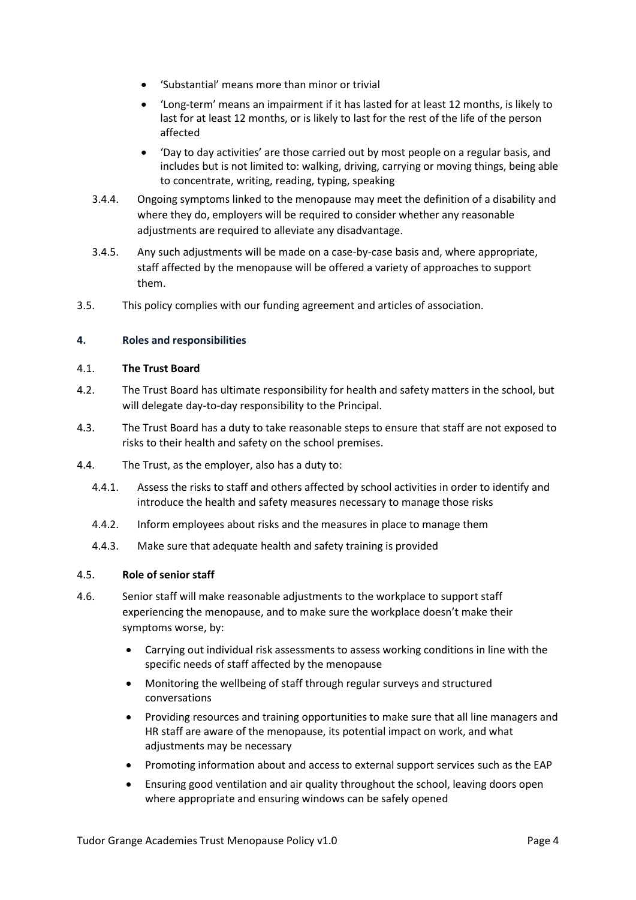- 'Substantial' means more than minor or trivial
- 'Long-term' means an impairment if it has lasted for at least 12 months, is likely to last for at least 12 months, or is likely to last for the rest of the life of the person affected
- 'Day to day activities' are those carried out by most people on a regular basis, and includes but is not limited to: walking, driving, carrying or moving things, being able to concentrate, writing, reading, typing, speaking
- 3.4.4. Ongoing symptoms linked to the menopause may meet the definition of a disability and where they do, employers will be required to consider whether any reasonable adjustments are required to alleviate any disadvantage.
- 3.4.5. Any such adjustments will be made on a case-by-case basis and, where appropriate, staff affected by the menopause will be offered a variety of approaches to support them.
- 3.5. This policy complies with our funding agreement and articles of association.

# <span id="page-3-0"></span>**4. Roles and responsibilities**

# 4.1. **The Trust Board**

- 4.2. The Trust Board has ultimate responsibility for health and safety matters in the school, but will delegate day-to-day responsibility to the Principal.
- 4.3. The Trust Board has a duty to take reasonable steps to ensure that staff are not exposed to risks to their health and safety on the school premises.
- 4.4. The Trust, as the employer, also has a duty to:
	- 4.4.1. Assess the risks to staff and others affected by school activities in order to identify and introduce the health and safety measures necessary to manage those risks
	- 4.4.2. Inform employees about risks and the measures in place to manage them
	- 4.4.3. Make sure that adequate health and safety training is provided

# 4.5. **Role of senior staff**

- 4.6. Senior staff will make reasonable adjustments to the workplace to support staff experiencing the menopause, and to make sure the workplace doesn't make their symptoms worse, by:
	- Carrying out individual risk assessments to assess working conditions in line with the specific needs of staff affected by the menopause
	- Monitoring the wellbeing of staff through regular surveys and structured conversations
	- Providing resources and training opportunities to make sure that all line managers and HR staff are aware of the menopause, its potential impact on work, and what adjustments may be necessary
	- Promoting information about and access to external support services such as the EAP
	- Ensuring good ventilation and air quality throughout the school, leaving doors open where appropriate and ensuring windows can be safely opened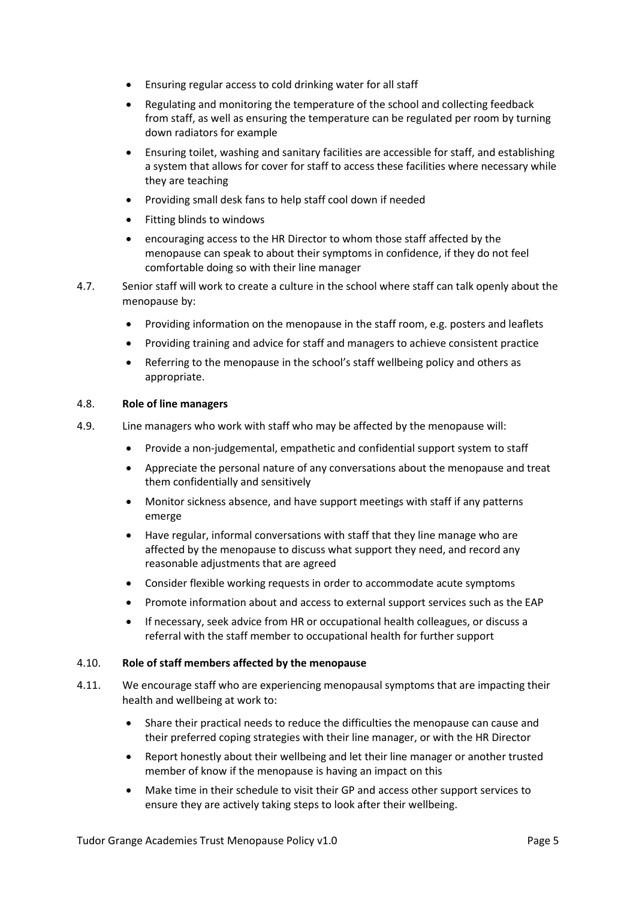- Ensuring regular access to cold drinking water for all staff
- Regulating and monitoring the temperature of the school and collecting feedback from staff, as well as ensuring the temperature can be regulated per room by turning down radiators for example
- Ensuring toilet, washing and sanitary facilities are accessible for staff, and establishing a system that allows for cover for staff to access these facilities where necessary while they are teaching
- Providing small desk fans to help staff cool down if needed
- Fitting blinds to windows
- encouraging access to the HR Director to whom those staff affected by the menopause can speak to about their symptoms in confidence, if they do not feel comfortable doing so with their line manager
- 4.7. Senior staff will work to create a culture in the school where staff can talk openly about the menopause by:
	- Providing information on the menopause in the staff room, e.g. posters and leaflets
	- Providing training and advice for staff and managers to achieve consistent practice
	- Referring to the menopause in the school's staff wellbeing policy and others as appropriate.

#### 4.8. **Role of line managers**

- 4.9. Line managers who work with staff who may be affected by the menopause will:
	- Provide a non-judgemental, empathetic and confidential support system to staff
	- Appreciate the personal nature of any conversations about the menopause and treat them confidentially and sensitively
	- Monitor sickness absence, and have support meetings with staff if any patterns emerge
	- Have regular, informal conversations with staff that they line manage who are affected by the menopause to discuss what support they need, and record any reasonable adjustments that are agreed
	- Consider flexible working requests in order to accommodate acute symptoms
	- Promote information about and access to external support services such as the EAP
	- If necessary, seek advice from HR or occupational health colleagues, or discuss a referral with the staff member to occupational health for further support

# 4.10. **Role of staff members affected by the menopause**

- 4.11. We encourage staff who are experiencing menopausal symptoms that are impacting their health and wellbeing at work to:
	- Share their practical needs to reduce the difficulties the menopause can cause and their preferred coping strategies with their line manager, or with the HR Director
	- Report honestly about their wellbeing and let their line manager or another trusted member of know if the menopause is having an impact on this
	- Make time in their schedule to visit their GP and access other support services to ensure they are actively taking steps to look after their wellbeing.